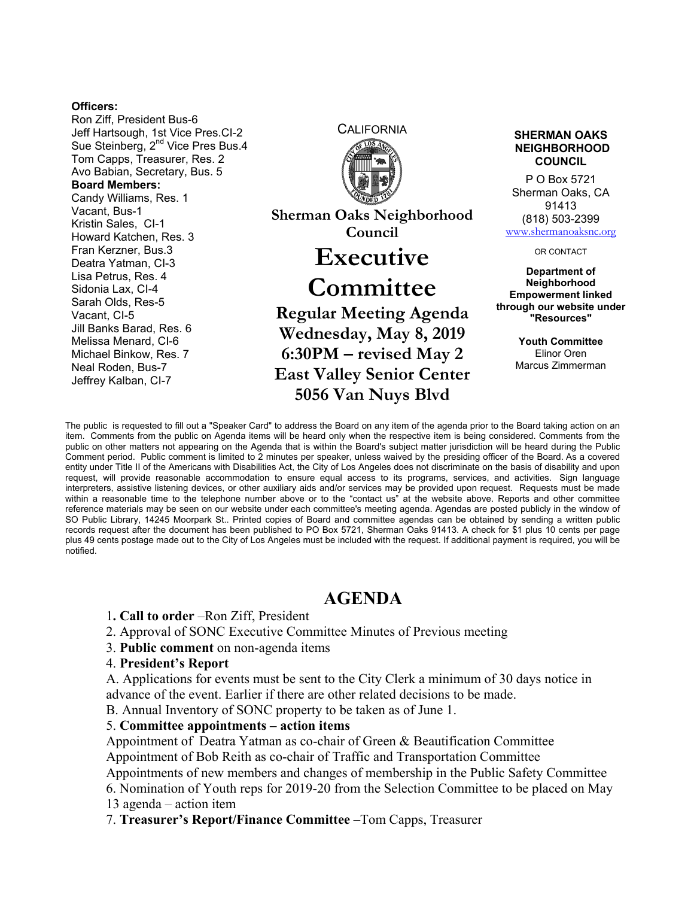#### **Officers:**

Ron Ziff, President Bus-6 Jeff Hartsough, 1st Vice Pres.CI-2 Sue Steinberg, 2<sup>nd</sup> Vice Pres Bus.4 Tom Capps, Treasurer, Res. 2 Avo Babian, Secretary, Bus. 5 **Board Members:**  Candy Williams, Res. 1 Vacant, Bus-1 Kristin Sales, CI-1 Howard Katchen, Res. 3 Fran Kerzner, Bus.3 Deatra Yatman, CI-3 Lisa Petrus, Res. 4 Sidonia Lax, CI-4 Sarah Olds, Res-5 Vacant, CI-5 Jill Banks Barad, Res. 6 Melissa Menard, CI-6 Michael Binkow, Res. 7 Neal Roden, Bus-7 Jeffrey Kalban, CI-7



**Sherman Oaks Neighborhood Council** 

# **Executive**

# **Committee**

**Regular Meeting Agenda Wednesday, May 8, 2019 6:30PM – revised May 2 East Valley Senior Center 5056 Van Nuys Blvd** 

#### **SHERMAN OAKS NEIGHBORHOOD COUNCIL**

P O Box 5721 Sherman Oaks, CA 91413 (818) 503-2399 www.shermanoaksnc.org

OR CONTACT

**Department of Neighborhood Empowerment linked through our website under "Resources"** 

> **Youth Committee**  Elinor Oren Marcus Zimmerman

The public is requested to fill out a "Speaker Card" to address the Board on any item of the agenda prior to the Board taking action on an item. Comments from the public on Agenda items will be heard only when the respective item is being considered. Comments from the public on other matters not appearing on the Agenda that is within the Board's subject matter jurisdiction will be heard during the Public Comment period. Public comment is limited to 2 minutes per speaker, unless waived by the presiding officer of the Board. As a covered entity under Title II of the Americans with Disabilities Act, the City of Los Angeles does not discriminate on the basis of disability and upon request, will provide reasonable accommodation to ensure equal access to its programs, services, and activities. Sign language interpreters, assistive listening devices, or other auxiliary aids and/or services may be provided upon request. Requests must be made within a reasonable time to the telephone number above or to the "contact us" at the website above. Reports and other committee reference materials may be seen on our website under each committee's meeting agenda. Agendas are posted publicly in the window of SO Public Library, 14245 Moorpark St.. Printed copies of Board and committee agendas can be obtained by sending a written public records request after the document has been published to PO Box 5721, Sherman Oaks 91413. A check for \$1 plus 10 cents per page plus 49 cents postage made out to the City of Los Angeles must be included with the request. If additional payment is required, you will be notified.

## **AGENDA**

- 1**. Call to order** –Ron Ziff, President
- 2. Approval of SONC Executive Committee Minutes of Previous meeting
- 3. **Public comment** on non-agenda items

### 4. **President's Report**

A. Applications for events must be sent to the City Clerk a minimum of 30 days notice in advance of the event. Earlier if there are other related decisions to be made.

B. Annual Inventory of SONC property to be taken as of June 1.

### 5. **Committee appointments – action items**

Appointment of Deatra Yatman as co-chair of Green & Beautification Committee Appointment of Bob Reith as co-chair of Traffic and Transportation Committee

Appointments of new members and changes of membership in the Public Safety Committee 6. Nomination of Youth reps for 2019-20 from the Selection Committee to be placed on May 13 agenda – action item

7. **Treasurer's Report/Finance Committee** –Tom Capps, Treasurer